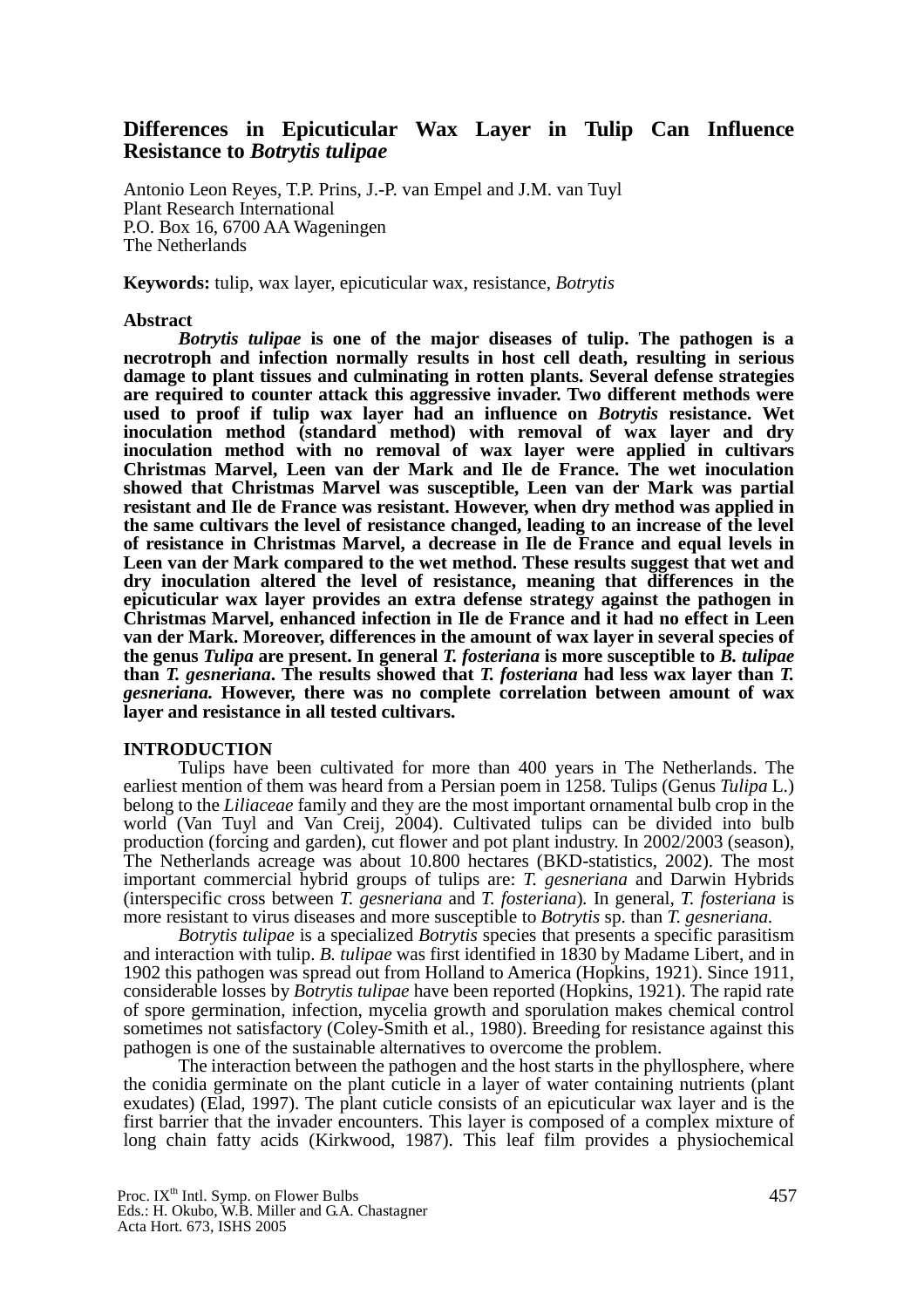## **Differences in Epicuticular Wax Layer in Tulip Can Influence Resistance to** *Botrytis tulipae*

Antonio Leon Reyes, T.P. Prins, J.-P. van Empel and J.M. van Tuyl Plant Research International P.O. Box 16, 6700 AA Wageningen The Netherlands

**Keywords:** tulip, wax layer, epicuticular wax, resistance, *Botrytis*

#### **Abstract**

*Botrytis tulipae* **is one of the major diseases of tulip. The pathogen is a necrotroph and infection normally results in host cell death, resulting in serious damage to plant tissues and culminating in rotten plants. Several defense strategies are required to counter attack this aggressive invader. Two different methods were used to proof if tulip wax layer had an influence on** *Botrytis* **resistance. Wet inoculation method (standard method) with removal of wax layer and dry inoculation method with no removal of wax layer were applied in cultivars Christmas Marvel, Leen van der Mark and Ile de France. The wet inoculation showed that Christmas Marvel was susceptible, Leen van der Mark was partial resistant and Ile de France was resistant. However, when dry method was applied in the same cultivars the level of resistance changed, leading to an increase of the level of resistance in Christmas Marvel, a decrease in Ile de France and equal levels in Leen van der Mark compared to the wet method. These results suggest that wet and dry inoculation altered the level of resistance, meaning that differences in the epicuticular wax layer provides an extra defense strategy against the pathogen in Christmas Marvel, enhanced infection in Ile de France and it had no effect in Leen van der Mark. Moreover, differences in the amount of wax layer in several species of the genus** *Tulipa* **are present. In general** *T. fosteriana* **is more susceptible to** *B. tulipae* **than** *T. gesneriana***. The results showed that** *T. fosteriana* **had less wax layer than** *T. gesneriana.* **However, there was no complete correlation between amount of wax layer and resistance in all tested cultivars.** 

#### **INTRODUCTION**

Tulips have been cultivated for more than 400 years in The Netherlands. The earliest mention of them was heard from a Persian poem in 1258. Tulips (Genus *Tulipa* L.) belong to the *Liliaceae* family and they are the most important ornamental bulb crop in the world (Van Tuyl and Van Creij, 2004). Cultivated tulips can be divided into bulb production (forcing and garden), cut flower and pot plant industry. In 2002/2003 (season), The Netherlands acreage was about 10.800 hectares (BKD-statistics, 2002). The most important commercial hybrid groups of tulips are: *T. gesneriana* and Darwin Hybrids (interspecific cross between *T. gesneriana* and *T. fosteriana*)*.* In general, *T. fosteriana* is more resistant to virus diseases and more susceptible to *Botrytis* sp. than *T. gesneriana.*

*Botrytis tulipae* is a specialized *Botrytis* species that presents a specific parasitism and interaction with tulip. *B. tulipae* was first identified in 1830 by Madame Libert, and in 1902 this pathogen was spread out from Holland to America (Hopkins, 1921). Since 1911, considerable losses by *Botrytis tulipae* have been reported (Hopkins, 1921). The rapid rate of spore germination, infection, mycelia growth and sporulation makes chemical control sometimes not satisfactory (Coley-Smith et al*.*, 1980). Breeding for resistance against this pathogen is one of the sustainable alternatives to overcome the problem.

The interaction between the pathogen and the host starts in the phyllosphere, where the conidia germinate on the plant cuticle in a layer of water containing nutrients (plant exudates) (Elad, 1997). The plant cuticle consists of an epicuticular wax layer and is the first barrier that the invader encounters. This layer is composed of a complex mixture of long chain fatty acids (Kirkwood, 1987). This leaf film provides a physiochemical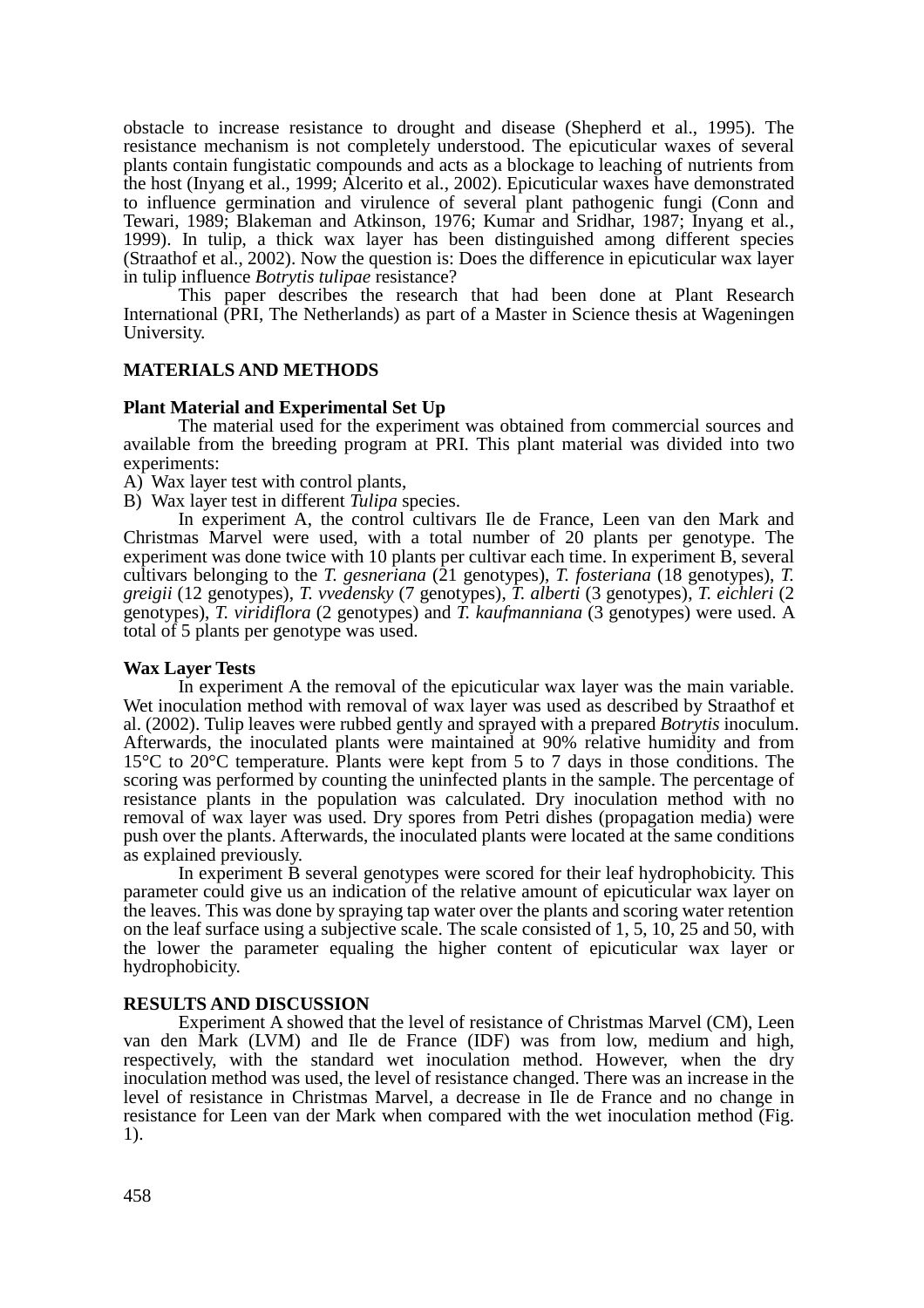obstacle to increase resistance to drought and disease (Shepherd et al., 1995). The resistance mechanism is not completely understood. The epicuticular waxes of several plants contain fungistatic compounds and acts as a blockage to leaching of nutrients from the host (Inyang et al., 1999; Alcerito et al*.*, 2002). Epicuticular waxes have demonstrated to influence germination and virulence of several plant pathogenic fungi (Conn and Tewari, 1989; Blakeman and Atkinson, 1976; Kumar and Sridhar, 1987; Inyang et al*.*, 1999). In tulip, a thick wax layer has been distinguished among different species (Straathof et al., 2002). Now the question is: Does the difference in epicuticular wax layer in tulip influence *Botrytis tulipae* resistance?

This paper describes the research that had been done at Plant Research International (PRI, The Netherlands) as part of a Master in Science thesis at Wageningen University.

### **MATERIALS AND METHODS**

#### **Plant Material and Experimental Set Up**

The material used for the experiment was obtained from commercial sources and available from the breeding program at PRI. This plant material was divided into two experiments:

A) Wax layer test with control plants,

B) Wax layer test in different *Tulipa* species.

In experiment A, the control cultivars Ile de France, Leen van den Mark and Christmas Marvel were used, with a total number of 20 plants per genotype. The experiment was done twice with 10 plants per cultivar each time. In experiment B, several cultivars belonging to the *T. gesneriana* (21 genotypes), *T. fosteriana* (18 genotypes), *T. greigii* (12 genotypes), *T. vvedensky* (7 genotypes), *T. alberti* (3 genotypes), *T. eichleri* (2 genotypes), *T. viridiflora* (2 genotypes) and *T. kaufmanniana* (3 genotypes) were used. A total of 5 plants per genotype was used.

#### **Wax Layer Tests**

In experiment A the removal of the epicuticular wax layer was the main variable. Wet inoculation method with removal of wax layer was used as described by Straathof et al. (2002). Tulip leaves were rubbed gently and sprayed with a prepared *Botrytis* inoculum. Afterwards, the inoculated plants were maintained at 90% relative humidity and from 15°C to 20°C temperature. Plants were kept from 5 to 7 days in those conditions. The scoring was performed by counting the uninfected plants in the sample. The percentage of resistance plants in the population was calculated. Dry inoculation method with no removal of wax layer was used. Dry spores from Petri dishes (propagation media) were push over the plants. Afterwards, the inoculated plants were located at the same conditions as explained previously.

In experiment B several genotypes were scored for their leaf hydrophobicity. This parameter could give us an indication of the relative amount of epicuticular wax layer on the leaves. This was done by spraying tap water over the plants and scoring water retention on the leaf surface using a subjective scale. The scale consisted of 1, 5, 10, 25 and 50, with the lower the parameter equaling the higher content of epicuticular wax layer or hydrophobicity.

#### **RESULTS AND DISCUSSION**

Experiment A showed that the level of resistance of Christmas Marvel (CM), Leen van den Mark (LVM) and Ile de France (IDF) was from low, medium and high, respectively, with the standard wet inoculation method. However, when the dry inoculation method was used, the level of resistance changed. There was an increase in the level of resistance in Christmas Marvel, a decrease in Ile de France and no change in resistance for Leen van der Mark when compared with the wet inoculation method (Fig. 1).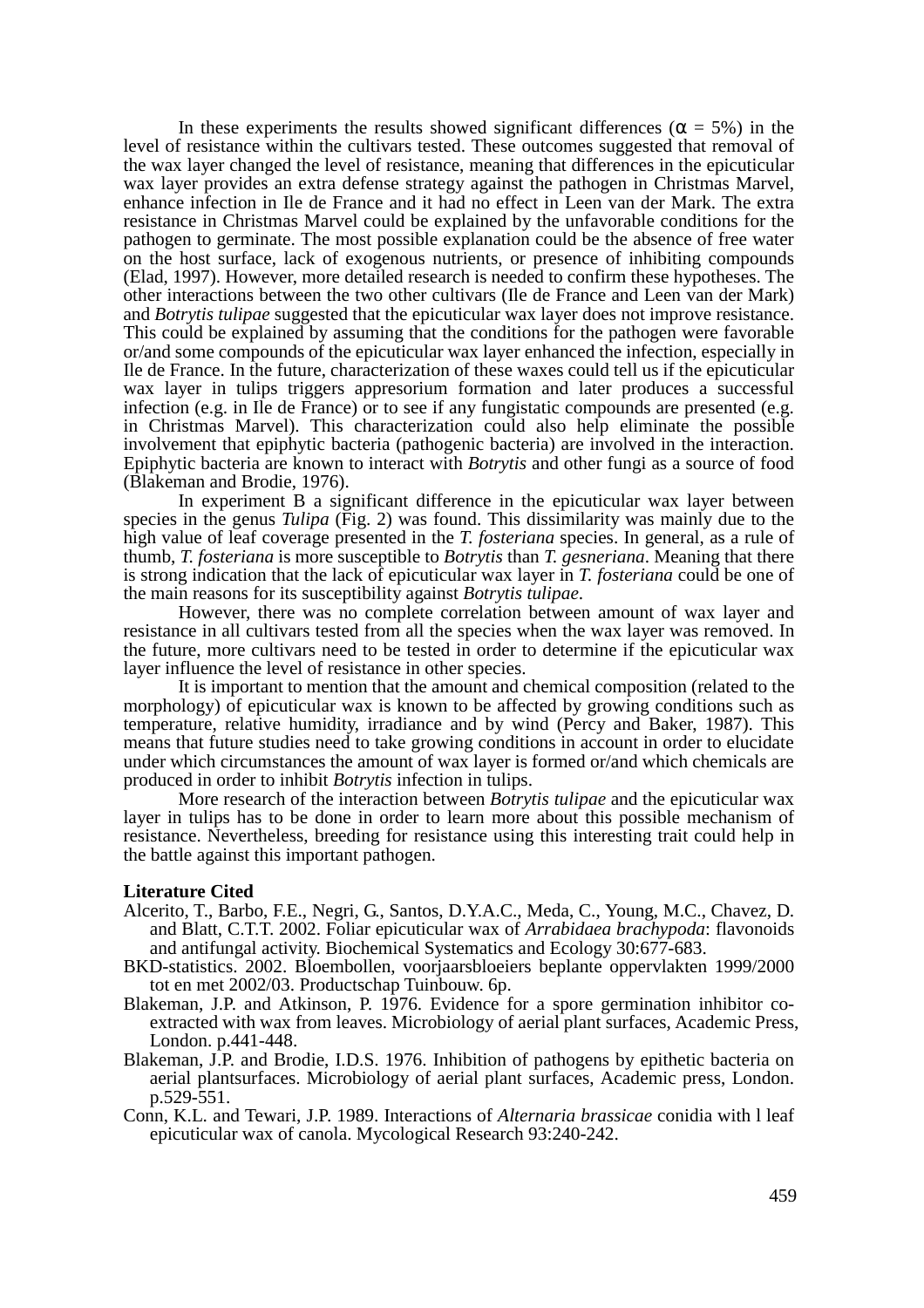In these experiments the results showed significant differences ( $\alpha = 5\%$ ) in the level of resistance within the cultivars tested. These outcomes suggested that removal of the wax layer changed the level of resistance, meaning that differences in the epicuticular wax layer provides an extra defense strategy against the pathogen in Christmas Marvel, enhance infection in Ile de France and it had no effect in Leen van der Mark. The extra resistance in Christmas Marvel could be explained by the unfavorable conditions for the pathogen to germinate. The most possible explanation could be the absence of free water on the host surface, lack of exogenous nutrients, or presence of inhibiting compounds (Elad, 1997). However, more detailed research is needed to confirm these hypotheses. The other interactions between the two other cultivars (Ile de France and Leen van der Mark) and *Botrytis tulipae* suggested that the epicuticular wax layer does not improve resistance. This could be explained by assuming that the conditions for the pathogen were favorable or/and some compounds of the epicuticular wax layer enhanced the infection, especially in Ile de France. In the future, characterization of these waxes could tell us if the epicuticular wax layer in tulips triggers appresorium formation and later produces a successful infection (e.g. in Ile de France) or to see if any fungistatic compounds are presented (e.g. in Christmas Marvel). This characterization could also help eliminate the possible involvement that epiphytic bacteria (pathogenic bacteria) are involved in the interaction. Epiphytic bacteria are known to interact with *Botrytis* and other fungi as a source of food (Blakeman and Brodie, 1976).

In experiment B a significant difference in the epicuticular wax layer between species in the genus *Tulipa* (Fig. 2) was found. This dissimilarity was mainly due to the high value of leaf coverage presented in the *T. fosteriana* species. In general, as a rule of thumb, *T. fosteriana* is more susceptible to *Botrytis* than *T. gesneriana*. Meaning that there is strong indication that the lack of epicuticular wax layer in *T. fosteriana* could be one of the main reasons for its susceptibility against *Botrytis tulipae*.

However, there was no complete correlation between amount of wax layer and resistance in all cultivars tested from all the species when the wax layer was removed. In the future, more cultivars need to be tested in order to determine if the epicuticular wax layer influence the level of resistance in other species.

It is important to mention that the amount and chemical composition (related to the morphology) of epicuticular wax is known to be affected by growing conditions such as temperature, relative humidity, irradiance and by wind (Percy and Baker, 1987). This means that future studies need to take growing conditions in account in order to elucidate under which circumstances the amount of wax layer is formed or/and which chemicals are produced in order to inhibit *Botrytis* infection in tulips.

More research of the interaction between *Botrytis tulipae* and the epicuticular wax layer in tulips has to be done in order to learn more about this possible mechanism of resistance. Nevertheless, breeding for resistance using this interesting trait could help in the battle against this important pathogen.

#### **Literature Cited**

- Alcerito, T., Barbo, F.E., Negri, G., Santos, D.Y.A.C., Meda, C., Young, M.C., Chavez, D. and Blatt, C.T.T. 2002. Foliar epicuticular wax of *Arrabidaea brachypoda*: flavonoids and antifungal activity. Biochemical Systematics and Ecology 30:677-683.
- BKD-statistics. 2002. Bloembollen, voorjaarsbloeiers beplante oppervlakten 1999/2000 tot en met 2002/03. Productschap Tuinbouw. 6p.
- Blakeman, J.P. and Atkinson, P. 1976. Evidence for a spore germination inhibitor coextracted with wax from leaves. Microbiology of aerial plant surfaces, Academic Press, London. p.441-448.
- Blakeman, J.P. and Brodie, I.D.S. 1976. Inhibition of pathogens by epithetic bacteria on aerial plantsurfaces. Microbiology of aerial plant surfaces, Academic press, London. p.529-551.
- Conn, K.L. and Tewari, J.P. 1989. Interactions of *Alternaria brassicae* conidia with l leaf epicuticular wax of canola. Mycological Research 93:240-242.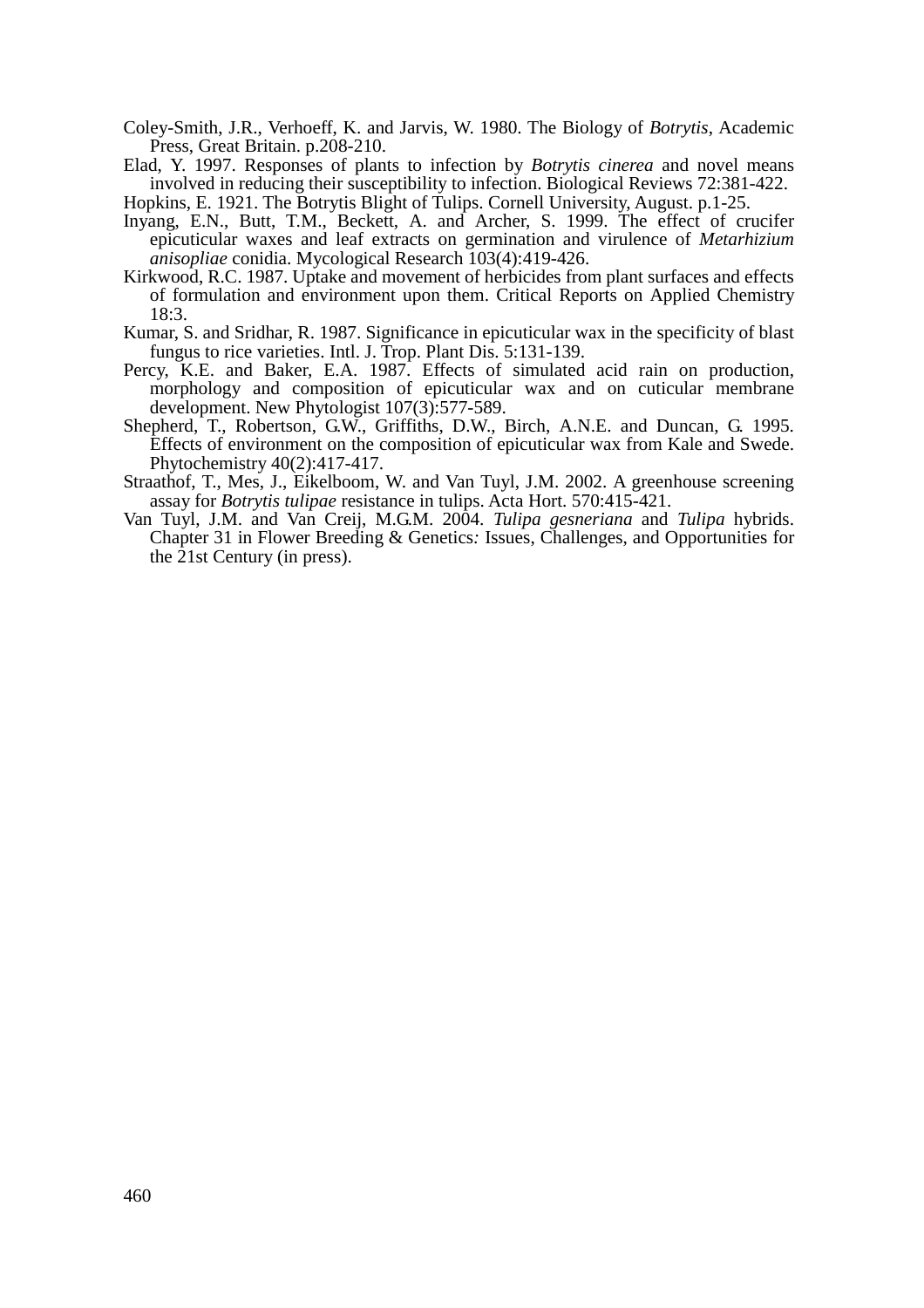Coley-Smith, J.R., Verhoeff, K. and Jarvis, W. 1980. The Biology of *Botrytis*, Academic Press, Great Britain. p.208-210.

Elad, Y. 1997. Responses of plants to infection by *Botrytis cinerea* and novel means involved in reducing their susceptibility to infection. Biological Reviews 72:381-422.

Hopkins, E. 1921. The Botrytis Blight of Tulips. Cornell University, August. p.1-25.

- Inyang, E.N., Butt, T.M., Beckett, A. and Archer, S. 1999. The effect of crucifer epicuticular waxes and leaf extracts on germination and virulence of *Metarhizium anisopliae* conidia. Mycological Research 103(4):419-426.
- Kirkwood, R.C. 1987. Uptake and movement of herbicides from plant surfaces and effects of formulation and environment upon them. Critical Reports on Applied Chemistry 18:3.
- Kumar, S. and Sridhar, R. 1987. Significance in epicuticular wax in the specificity of blast fungus to rice varieties. Intl. J. Trop. Plant Dis. 5:131-139.
- Percy, K.E. and Baker, E.A. 1987. Effects of simulated acid rain on production, morphology and composition of epicuticular wax and on cuticular membrane development. New Phytologist 107(3):577-589.
- Shepherd, T., Robertson, G.W., Griffiths, D.W., Birch, A.N.E. and Duncan, G. 1995. Effects of environment on the composition of epicuticular wax from Kale and Swede. Phytochemistry 40(2):417-417.
- Straathof, T., Mes, J., Eikelboom, W. and Van Tuyl, J.M. 2002. A greenhouse screening assay for *Botrytis tulipae* resistance in tulips. Acta Hort. 570:415-421.
- Van Tuyl, J.M. and Van Creij, M.G.M. 2004. *Tulipa gesneriana* and *Tulipa* hybrids. Chapter 31 in Flower Breeding & Genetics*:* Issues, Challenges, and Opportunities for the 21st Century (in press).